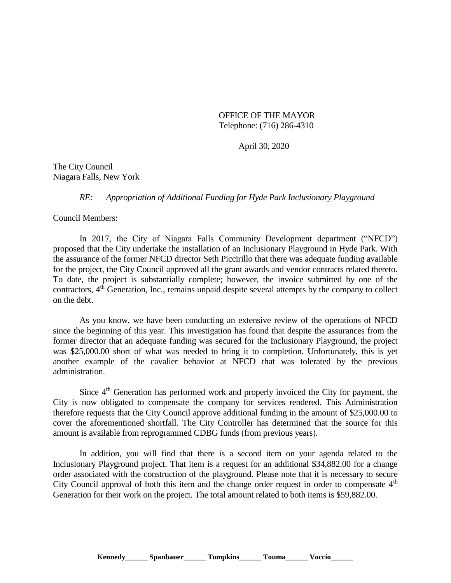OFFICE OF THE MAYOR Telephone: (716) 286-4310

April 30, 2020

The City Council Niagara Falls, New York

*RE: Appropriation of Additional Funding for Hyde Park Inclusionary Playground*

Council Members:

In 2017, the City of Niagara Falls Community Development department ("NFCD") proposed that the City undertake the installation of an Inclusionary Playground in Hyde Park. With the assurance of the former NFCD director Seth Piccirillo that there was adequate funding available for the project, the City Council approved all the grant awards and vendor contracts related thereto. To date, the project is substantially complete; however, the invoice submitted by one of the contractors, 4<sup>th</sup> Generation, Inc., remains unpaid despite several attempts by the company to collect on the debt.

As you know, we have been conducting an extensive review of the operations of NFCD since the beginning of this year. This investigation has found that despite the assurances from the former director that an adequate funding was secured for the Inclusionary Playground, the project was \$25,000.00 short of what was needed to bring it to completion. Unfortunately, this is yet another example of the cavalier behavior at NFCD that was tolerated by the previous administration.

Since  $4<sup>th</sup>$  Generation has performed work and properly invoiced the City for payment, the City is now obligated to compensate the company for services rendered. This Administration therefore requests that the City Council approve additional funding in the amount of \$25,000.00 to cover the aforementioned shortfall. The City Controller has determined that the source for this amount is available from reprogrammed CDBG funds (from previous years).

In addition, you will find that there is a second item on your agenda related to the Inclusionary Playground project. That item is a request for an additional \$34,882.00 for a change order associated with the construction of the playground. Please note that it is necessary to secure City Council approval of both this item and the change order request in order to compensate  $4<sup>th</sup>$ Generation for their work on the project. The total amount related to both items is \$59,882.00.

Kennedy Spanbauer Tompkins Touma Voccio